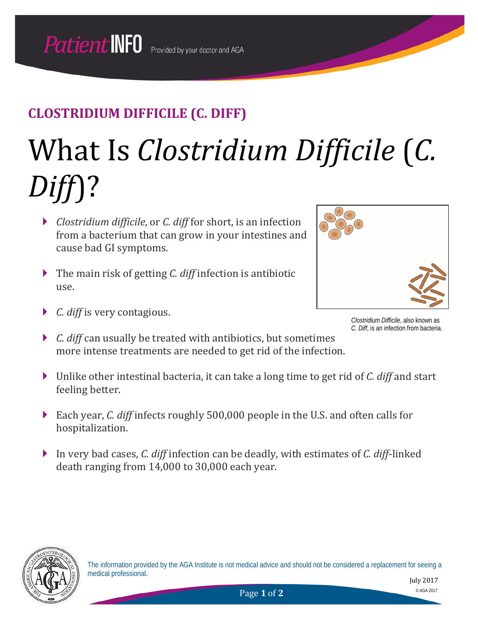# What Is *Clostridium Difficile* (*C. Diff*)?

- *Clostridium difficile*, or *C. diff* for short, is an infection from a bacterium that can grow in your intestines and cause bad GI symptoms.
- The main risk of getting *C. diff* infection is antibiotic use.
- *C. diff* is very contagious.



*Clostridium Difficile*, also known as *C. Diff*, is an infection from bacteria.

- *C. diff* can usually be treated with antibiotics, but sometimes more intense treatments are needed to get rid of the infection.
- Unlike other intestinal bacteria, it can take a long time to get rid of *C. diff* and start feeling better.
- Each year, *C. diff* infects roughly 500,000 people in the U.S. and often calls for hospitalization.
- In very bad cases, *C. diff* infection can be deadly, with estimates of *C. diff*-linked death ranging from 14,000 to 30,000 each year.

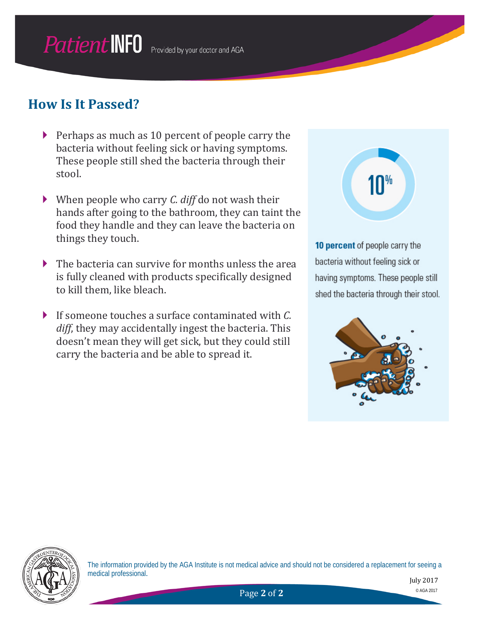#### **How Is It Passed?**

- $\triangleright$  Perhaps as much as 10 percent of people carry the bacteria without feeling sick or having symptoms. These people still shed the bacteria through their stool.
- When people who carry *C. diff* do not wash their hands after going to the bathroom, they can taint the food they handle and they can leave the bacteria on things they touch.
- The bacteria can survive for months unless the area is fully cleaned with products specifically designed to kill them, like bleach.
- If someone touches a surface contaminated with *C. diff*, they may accidentally ingest the bacteria. This doesn't mean they will get sick, but they could still carry the bacteria and be able to spread it.

 $10<sup>%</sup>$ 

10 percent of people carry the bacteria without feeling sick or having symptoms. These people still shed the bacteria through their stool.





The information provided by the AGA Institute is not medical advice and should not be considered a replacement for seeing a medical professional.

July 2017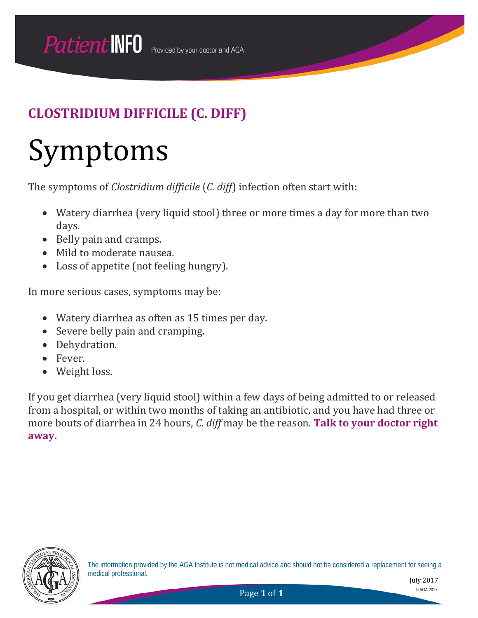## Symptoms

The symptoms of *Clostridium difficile* (*C. diff*) infection often start with:

- Watery diarrhea (very liquid stool) three or more times a day for more than two days.
- Belly pain and cramps.
- Mild to moderate nausea.
- Loss of appetite (not feeling hungry).

In more serious cases, symptoms may be:

- Watery diarrhea as often as 15 times per day.
- Severe belly pain and cramping.
- Dehydration.
- Fever.
- Weight loss.

If you get diarrhea (very liquid stool) within a few days of being admitted to or released from a hospital, or within two months of taking an antibiotic, and you have had three or more bouts of diarrhea in 24 hours, *C. diff* may be the reason. **Talk to your doctor right away.**



The information provided by the AGA Institute is not medical advice and should not be considered a replacement for seeing a medical professional.

July 2017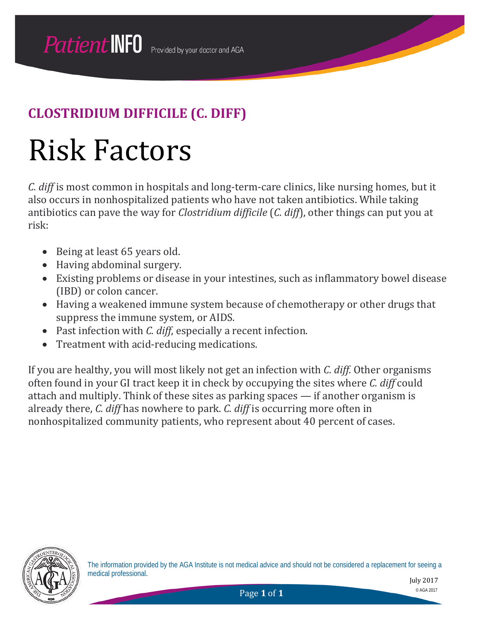## Risk Factors

*C. diff* is most common in hospitals and long-term-care clinics, like nursing homes, but it also occurs in nonhospitalized patients who have not taken antibiotics. While taking antibiotics can pave the way for *Clostridium difficile* (*C. diff*), other things can put you at risk:

- Being at least 65 years old.
- Having abdominal surgery.
- Existing problems or disease in your intestines, such as inflammatory bowel disease (IBD) or colon cancer.
- Having a weakened immune system because of chemotherapy or other drugs that suppress the immune system, or AIDS.
- Past infection with *C. diff*, especially a recent infection.
- Treatment with acid-reducing medications.

If you are healthy, you will most likely not get an infection with *C. diff.* Other organisms often found in your GI tract keep it in check by occupying the sites where *C. diff* could attach and multiply. Think of these sites as parking spaces — if another organism is already there, *C. diff* has nowhere to park. *C. diff* is occurring more often in nonhospitalized community patients, who represent about 40 percent of cases.



The information provided by the AGA Institute is not medical advice and should not be considered a replacement for seeing a medical professional.

July 2017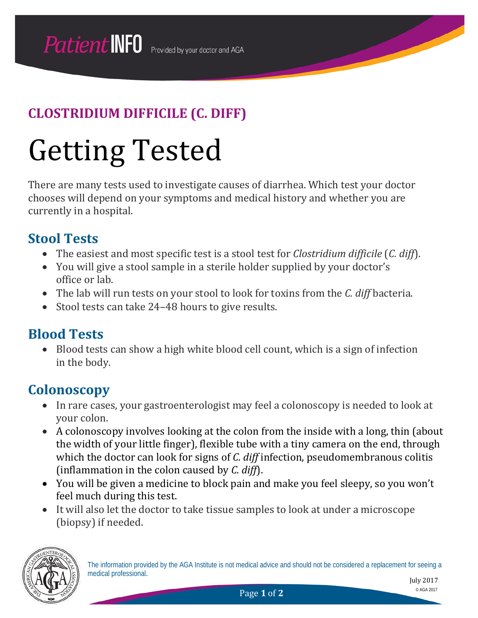# Getting Tested

There are many tests used to investigate causes of diarrhea. Which test your doctor chooses will depend on your symptoms and medical history and whether you are currently in a hospital.

#### **Stool Tests**

- The easiest and most specific test is a stool test for *Clostridium difficile* (*C. diff*).
- You will give a stool sample in a sterile holder supplied by your doctor's office or lab.
- The lab will run tests on your stool to look for toxins from the *C. diff* bacteria.
- Stool tests can take 24–48 hours to give results.

#### **Blood Tests**

• Blood tests can show a high white blood cell count, which is a sign of infection in the body.

#### **Colonoscopy**

- In rare cases, your gastroenterologist may feel a colonoscopy is needed to look at your colon.
- A colonoscopy involves looking at the colon from the inside with a long, thin (about the width of your little finger), flexible tube with a tiny camera on the end, through which the doctor can look for signs of *C. diff* infection, pseudomembranous colitis (inflammation in the colon caused by *C. diff*).
- You will be given a medicine to block pain and make you feel sleepy, so you won't feel much during this test.
- It will also let the doctor to take tissue samples to look at under a microscope (biopsy) if needed.

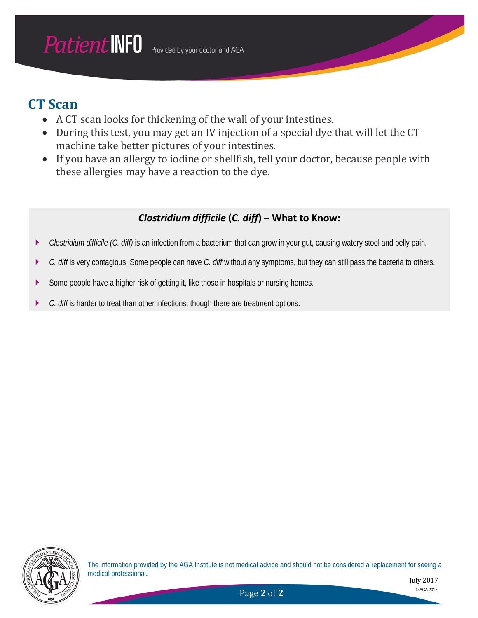#### **CT Scan**

- A CT scan looks for thickening of the wall of your intestines.
- During this test, you may get an IV injection of a special dye that will let the CT machine take better pictures of your intestines.
- If you have an allergy to iodine or shellfish, tell your doctor, because people with these allergies may have a reaction to the dye.

#### *Clostridium difficile* **(***C. diff***) – What to Know:**

- *Clostridium difficile (C. diff)* is an infection from a bacterium that can grow in your gut, causing watery stool and belly pain.
- *C. diff* is very contagious. Some people can have *C. diff* without any symptoms, but they can still pass the bacteria to others.
- Some people have a higher risk of getting it, like those in hospitals or nursing homes.
- *C. diff* is harder to treat than other infections, though there are treatment options.

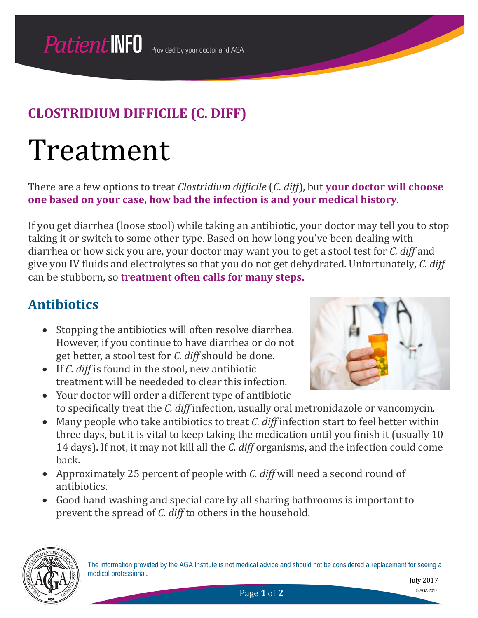## Treatment

There are a few options to treat *Clostridium difficile* (*C. diff*), but **your doctor will choose one based on your case, how bad the infection is and your medical history**.

If you get diarrhea (loose stool) while taking an antibiotic, your doctor may tell you to stop taking it or switch to some other type. Based on how long you've been dealing with diarrhea or how sick you are, your doctor may want you to get a stool test for *C. diff* and give you IV fluids and electrolytes so that you do not get dehydrated. Unfortunately, *C. diff* can be stubborn, so **treatment often calls for many steps.**

#### **Antibiotics**

- Stopping the antibiotics will often resolve diarrhea. However, if you continue to have diarrhea or do not get better, a stool test for *C. diff* should be done.
- If *C. diff* is found in the stool, new antibiotic treatment will be neededed to clear this infection.
- Your doctor will order a different type of antibiotic
- to specifically treat the *C. diff* infection, usually oral metronidazole or vancomycin. • Many people who take antibiotics to treat *C. diff* infection start to feel better within three days, but it is vital to keep taking the medication until you finish it (usually 10– 14 days). If not, it may not kill all the *C. diff* organisms, and the infection could come back.
- Approximately 25 percent of people with *C. diff* will need a second round of antibiotics.
- Good hand washing and special care by all sharing bathrooms is important to prevent the spread of *C. diff* to others in the household.





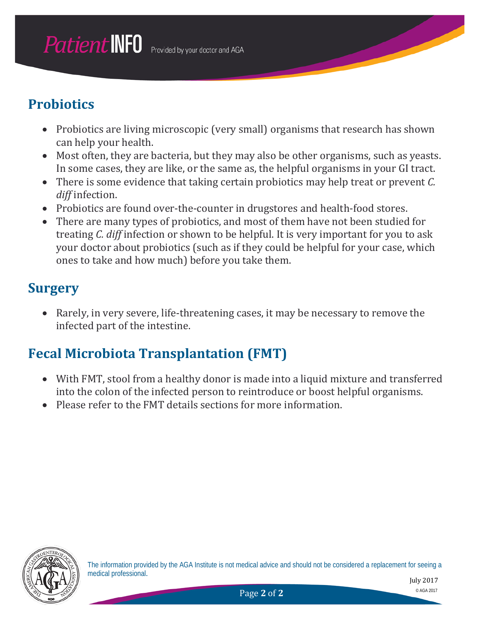### **Probiotics**

- Probiotics are living microscopic (very small) organisms that research has shown can help your health.
- Most often, they are bacteria, but they may also be other organisms, such as yeasts. In some cases, they are like, or the same as, the helpful organisms in your GI tract.
- There is some evidence that taking certain probiotics may help treat or prevent *C. diff* infection.
- Probiotics are found over-the-counter in drugstores and health-food stores.
- There are many types of probiotics, and most of them have not been studied for treating *C. diff* infection or shown to be helpful. It is very important for you to ask your doctor about probiotics (such as if they could be helpful for your case, which ones to take and how much) before you take them.

#### **Surgery**

• Rarely, in very severe, life-threatening cases, it may be necessary to remove the infected part of the intestine.

#### **Fecal Microbiota Transplantation (FMT)**

- With FMT, stool from a healthy donor is made into a liquid mixture and transferred into the colon of the infected person to reintroduce or boost helpful organisms.
- Please refer to the FMT details sections for more information.

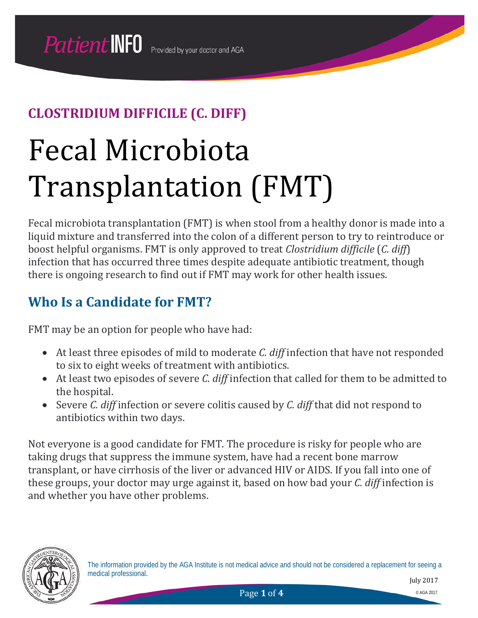# Fecal Microbiota Transplantation (FMT)

Fecal microbiota transplantation (FMT) is when stool from a healthy donor is made into a liquid mixture and transferred into the colon of a different person to try to reintroduce or boost helpful organisms. FMT is only approved to treat *Clostridium difficile* (*C. diff*) infection that has occurred three times despite adequate antibiotic treatment, though there is ongoing research to find out if FMT may work for other health issues.

#### **Who Is a Candidate for FMT?**

FMT may be an option for people who have had:

- At least three episodes of mild to moderate *C. diff* infection that have not responded to six to eight weeks of treatment with antibiotics.
- At least two episodes of severe *C. diff* infection that called for them to be admitted to the hospital.
- Severe *C. diff* infection or severe colitis caused by *C. diff* that did not respond to antibiotics within two days.

Not everyone is a good candidate for FMT. The procedure is risky for people who are taking drugs that suppress the immune system, have had a recent bone marrow transplant, or have cirrhosis of the liver or advanced HIV or AIDS. If you fall into one of these groups, your doctor may urge against it, based on how bad your *C. diff* infection is and whether you have other problems.

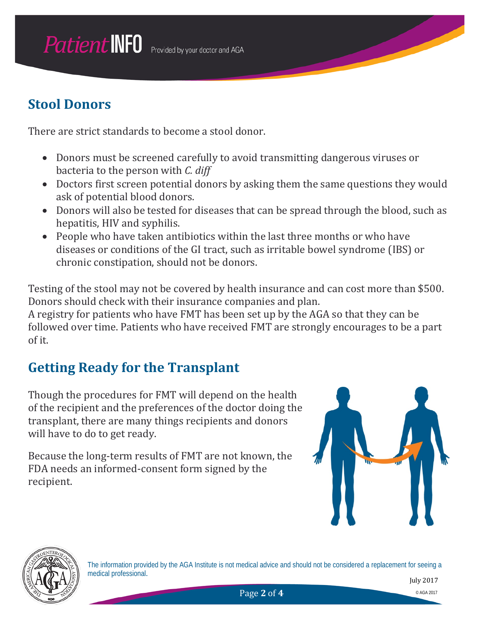#### **Stool Donors**

There are strict standards to become a stool donor.

- Donors must be screened carefully to avoid transmitting dangerous viruses or bacteria to the person with *C. diff*
- Doctors first screen potential donors by asking them the same questions they would ask of potential blood donors.
- Donors will also be tested for diseases that can be spread through the blood, such as hepatitis, HIV and syphilis.
- People who have taken antibiotics within the last three months or who have diseases or conditions of the GI tract, such as irritable bowel syndrome (IBS) or chronic constipation, should not be donors.

Testing of the stool may not be covered by health insurance and can cost more than \$500. Donors should check with their insurance companies and plan.

A registry for patients who have FMT has been set up by the AGA so that they can be followed over time. Patients who have received FMT are strongly encourages to be a part of it.

#### **Getting Ready for the Transplant**

Though the procedures for FMT will depend on the health of the recipient and the preferences of the doctor doing the transplant, there are many things recipients and donors will have to do to get ready.

Because the long-term results of FMT are not known, the FDA needs an informed-consent form signed by the recipient.





The information provided by the AGA Institute is not medical advice and should not be considered a replacement for seeing a medical professional.

July 2017

**Page 2 of 4** © AGA 2017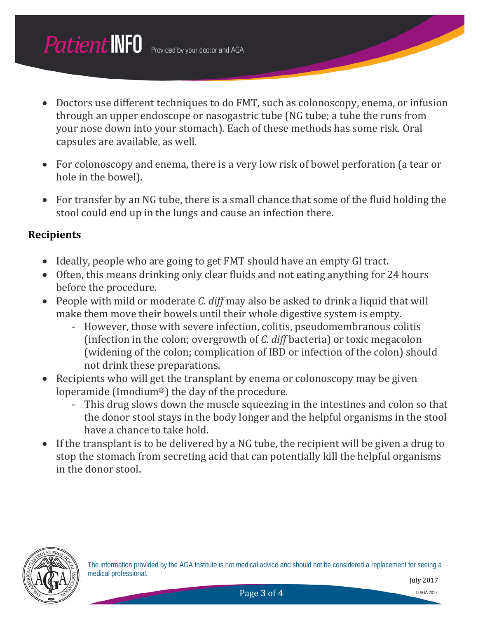- Doctors use different techniques to do FMT, such as colonoscopy, enema, or infusion through an upper endoscope or nasogastric tube (NG tube; a tube the runs from your nose down into your stomach). Each of these methods has some risk. Oral capsules are available, as well.
- For colonoscopy and enema, there is a very low risk of bowel perforation (a tear or hole in the bowel).
- For transfer by an NG tube, there is a small chance that some of the fluid holding the stool could end up in the lungs and cause an infection there.

#### **Recipients**

- Ideally, people who are going to get FMT should have an empty GI tract.
- Often, this means drinking only clear fluids and not eating anything for 24 hours before the procedure.
- People with mild or moderate *C. diff* may also be asked to drink a liquid that will make them move their bowels until their whole digestive system is empty.
	- However, those with severe infection, colitis, pseudomembranous colitis (infection in the colon; overgrowth of *C. diff* bacteria) or toxic megacolon (widening of the colon; complication of IBD or infection of the colon) should not drink these preparations.
- Recipients who will get the transplant by enema or colonoscopy may be given loperamide (Imodium®) the day of the procedure.
	- This drug slows down the muscle squeezing in the intestines and colon so that the donor stool stays in the body longer and the helpful organisms in the stool have a chance to take hold.
- If the transplant is to be delivered by a NG tube, the recipient will be given a drug to stop the stomach from secreting acid that can potentially kill the helpful organisms in the donor stool.

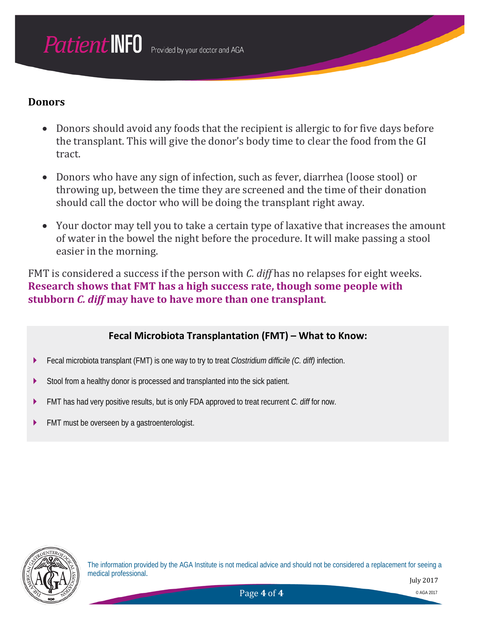#### **Donors**

- Donors should avoid any foods that the recipient is allergic to for five days before the transplant. This will give the donor's body time to clear the food from the GI tract.
- Donors who have any sign of infection, such as fever, diarrhea (loose stool) or throwing up, between the time they are screened and the time of their donation should call the doctor who will be doing the transplant right away.
- Your doctor may tell you to take a certain type of laxative that increases the amount of water in the bowel the night before the procedure. It will make passing a stool easier in the morning.

FMT is considered a success if the person with *C. diff* has no relapses for eight weeks. **Research shows that FMT has a high success rate, though some people with stubborn** *C. diff* **may have to have more than one transplant**.

#### **Fecal Microbiota Transplantation (FMT) – What to Know:**

- Fecal microbiota transplant (FMT) is one way to try to treat *Clostridium difficile (C. diff)* infection.
- Stool from a healthy donor is processed and transplanted into the sick patient.
- FMT has had very positive results, but is only FDA approved to treat recurrent *C. diff* for now.
- **FMT** must be overseen by a gastroenterologist.